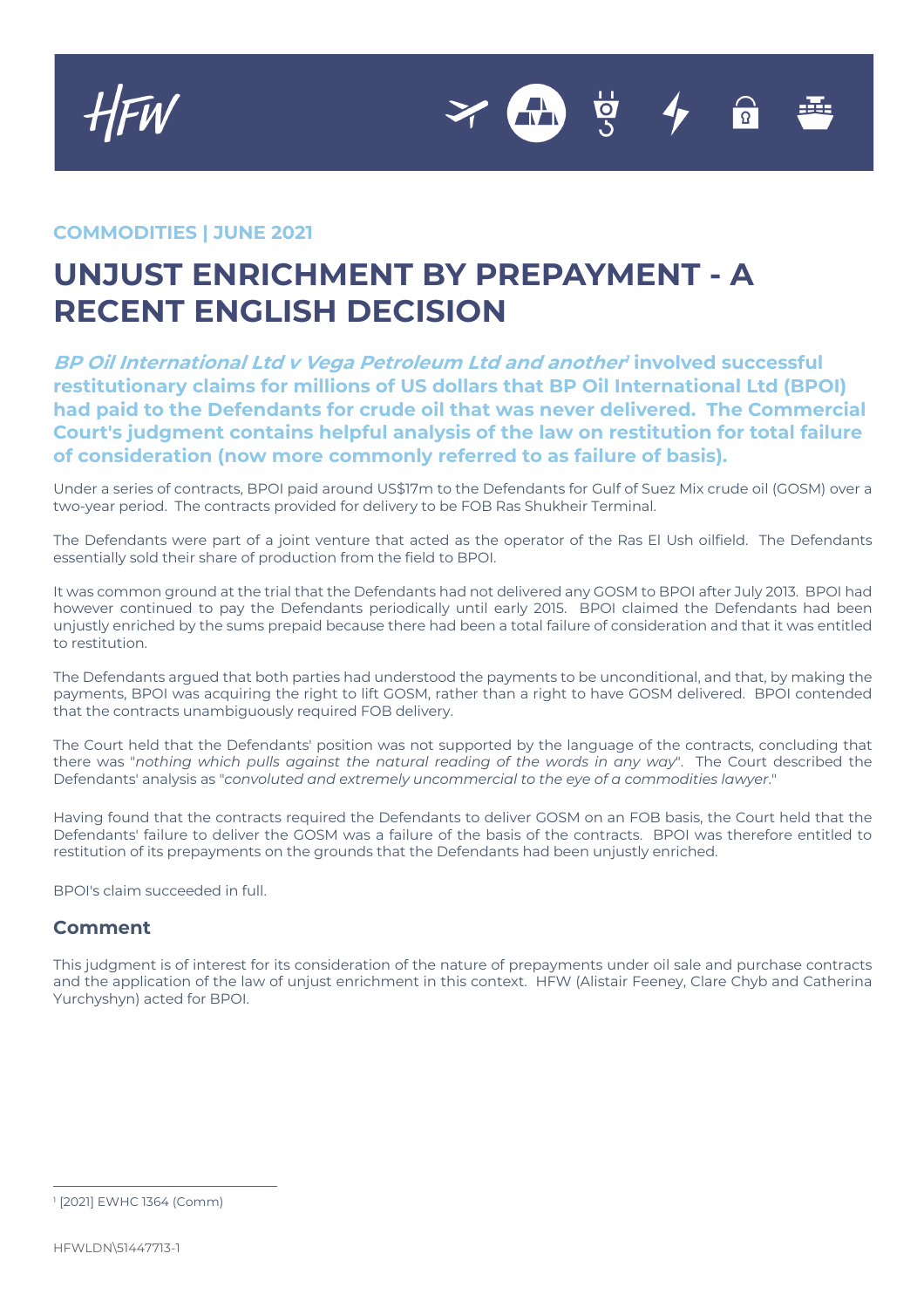

## **COMMODITIES | JUNE 2021**

## **UNJUST ENRICHMENT BY PREPAYMENT - A RECENT ENGLISH DECISION**

**BP Oil International Ltd <sup>v</sup> Vega Petroleum Ltd and another1 involved successful restitutionary claims for millions of US dollars that BP Oil International Ltd (BPOI) had paid to the Defendants for crude oil that was never delivered. The Commercial Court's judgment contains helpful analysis of the law on restitution for total failure of consideration (now more commonly referred to as failure of basis).**

Under a series of contracts, BPOI paid around US\$17m to the Defendants for Gulf of Suez Mix crude oil (GOSM) over a two-year period. The contracts provided for delivery to be FOB Ras Shukheir Terminal.

The Defendants were part of a joint venture that acted as the operator of the Ras El Ush oilfield. The Defendants essentially sold their share of production from the field to BPOI.

It was common ground at the trial that the Defendants had not delivered any GOSM to BPOI after July 2013. BPOI had however continued to pay the Defendants periodically until early 2015. BPOI claimed the Defendants had been unjustly enriched by the sums prepaid because there had been a total failure of consideration and that it was entitled to restitution.

The Defendants argued that both parties had understood the payments to be unconditional, and that, by making the payments, BPOI was acquiring the right to lift GOSM, rather than a right to have GOSM delivered. BPOI contended that the contracts unambiguously required FOB delivery.

The Court held that the Defendants' position was not supported by the language of the contracts, concluding that there was "*nothing which pulls against the natural reading of the words in any way*". The Court described the Defendants' analysis as "*convoluted and extremely uncommercial to the eye of a commodities lawyer*."

Having found that the contracts required the Defendants to deliver GOSM on an FOB basis, the Court held that the Defendants' failure to deliver the GOSM was a failure of the basis of the contracts. BPOI was therefore entitled to restitution of its prepayments on the grounds that the Defendants had been unjustly enriched.

BPOI's claim succeeded in full.

## **Comment**

This judgment is of interest for its consideration of the nature of prepayments under oil sale and purchase contracts and the application of the law of unjust enrichment in this context. HFW (Alistair Feeney, Clare Chyb and Catherina Yurchyshyn) acted for BPOI.

<sup>1</sup> [2021] EWHC 1364 (Comm)